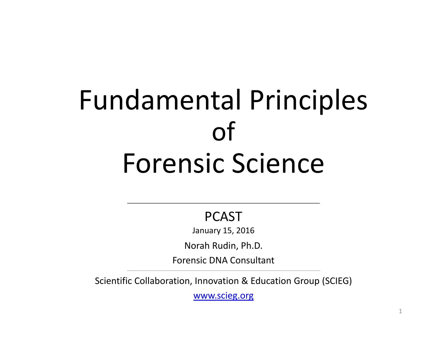# Fundamental Principles of Forensic Science

#### PCAST

January 15, 2016

Norah Rudin, Ph.D.

Forensic DNA Consultant

Scientific Collaboration, Innovation & Education Group (SCIEG)

www.scieg.org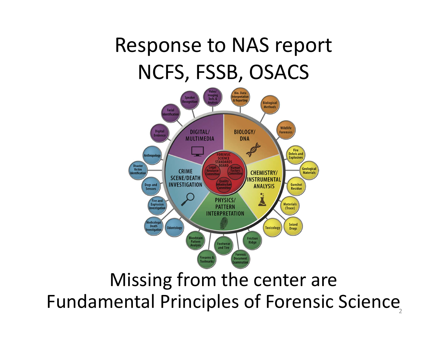#### Response to NAS report NCFS, FSSB, OSACS



#### Missing from the center are Fundamental Principles of Forensic Science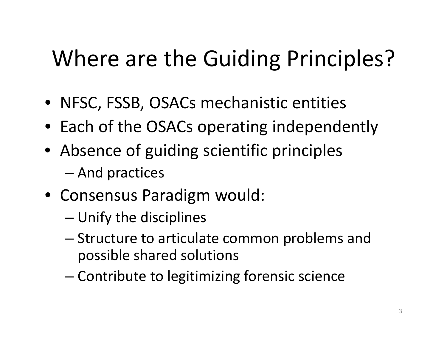## Where are the Guiding Principles?

- NFSC, FSSB, OSACs mechanistic entities
- Each of the OSACs operating independently
- Absence of guiding scientific principles
	- –And practices
- Consensus Paradigm would:
	- –Unify the disciplines
	- – Structure to articulate common problems and possible shared solutions
	- Contribute to legitimizing forensic science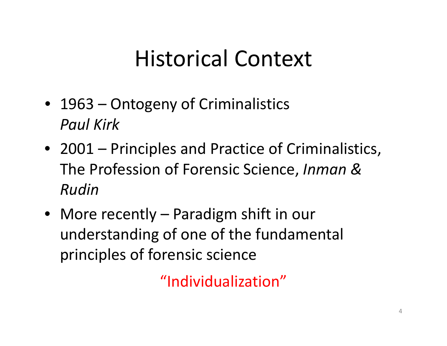### Historical Context

- 1963 Ontogeny of Criminalistics *Paul Kirk*
- 2001 Principles and Practice of Criminalistics, The Profession of Forensic Science, *Inman & Rudin*
- More recently Paradigm shift in our understanding of one of the fundamental principles of forensic science

"Individualization"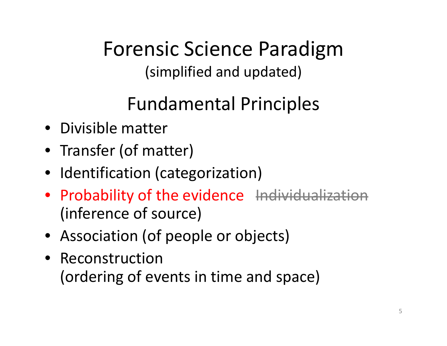Forensic Science Paradigm (simplified and updated)

#### Fundamental Principles

- Divisible matter
- Transfer (of matter)
- Identification (categorization)
- Probability of the evidence <del>Individualization</del> (inference of source)
- Association (of people or objects)
- Reconstruction(ordering of events in time and space)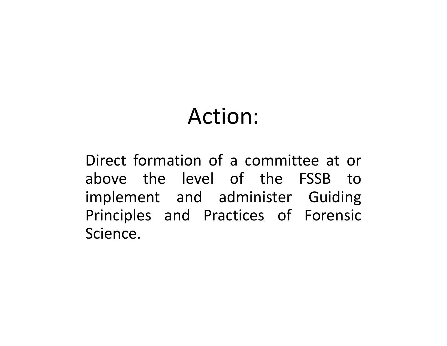#### Action:

Direct formation of <sup>a</sup> committee at or above the level of the FSSB toimplement and administer Guiding Principles and Practices of Forensic Science.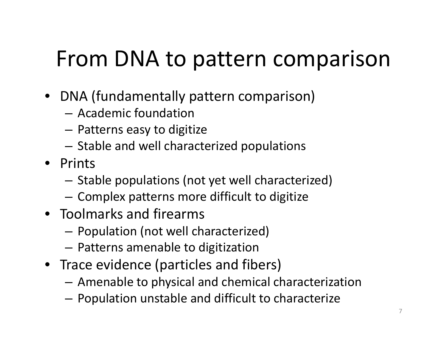#### From DNA to pattern comparison

- DNA (fundamentally pattern comparison)
	- Academic foundation
	- $-$  Patterns easy to digitize
	- $-$  Stable and well characterized populations
- Prints
	- $-$  Stable populations (not yet well characterized)
	- $-$  Complex patterns more difficult to digitize
- Toolmarks and firearms
	- $-$  Population (not well characterized)
	- $-$  Patterns amenable to digitization
- Trace evidence (particles and fibers)
	- Amenable to physical and chemical characterization
	- $-$  Population unstable and difficult to characterize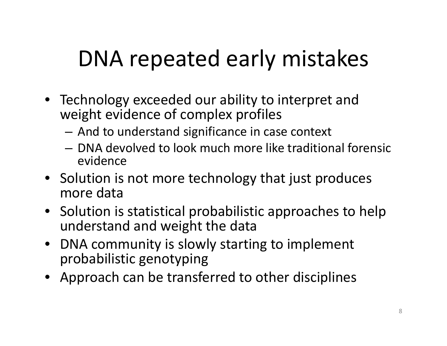## DNA repeated early mistakes

- Technology exceeded our ability to interpret and weight evidence of complex profiles
	- $-$  And to understand significance in case context
	- DNA devolved to look much more like traditional forensic evidence
- Solution is not more technology that just produces more data
- Solution is statistical probabilistic approaches to help understand and weight the data
- $\bullet$  DNA community is slowly starting to implement probabilistic genotyping
- Approach can be transferred to other disciplines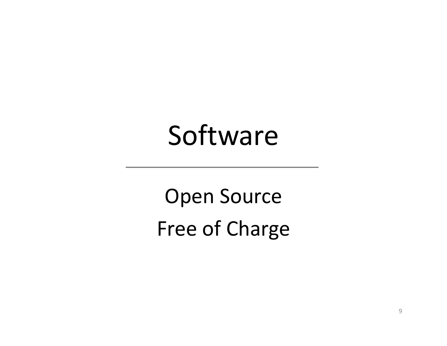# Software

Open Source Free of Charge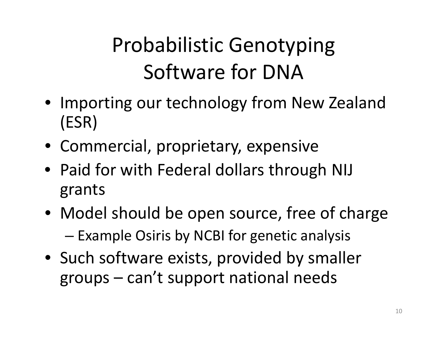#### Probabilistic Genotyping Software for DNA

- Importing our technology from New Zealand (ESR)
- Commercial, proprietary, expensive
- Paid for with Federal dollars through NIJ grants
- Model should be open source, free of charge  $-$  Example Osiris by NCBI for genetic analysis
- Such software exists, provided by smaller groups – can't support national needs